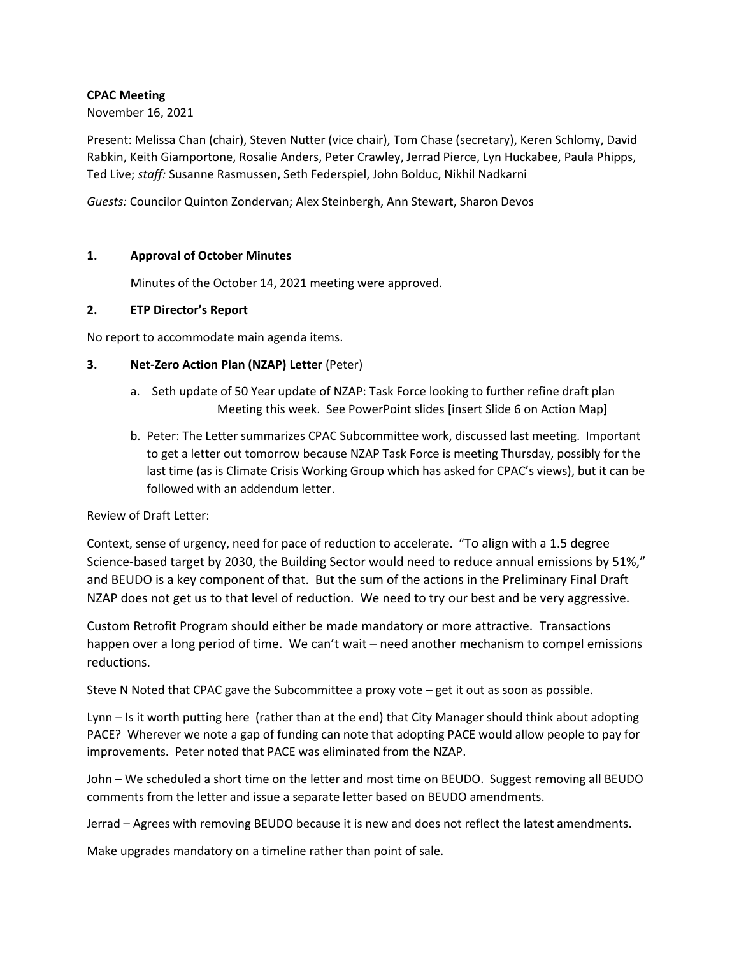# **CPAC Meeting**

# November 16, 2021

Present: Melissa Chan (chair), Steven Nutter (vice chair), Tom Chase (secretary), Keren Schlomy, David Rabkin, Keith Giamportone, Rosalie Anders, Peter Crawley, Jerrad Pierce, Lyn Huckabee, Paula Phipps, Ted Live; *staff:* Susanne Rasmussen, Seth Federspiel, John Bolduc, Nikhil Nadkarni

*Guests:* Councilor Quinton Zondervan; Alex Steinbergh, Ann Stewart, Sharon Devos

# **1. Approval of October Minutes**

Minutes of the October 14, 2021 meeting were approved.

# **2. ETP Director's Report**

No report to accommodate main agenda items.

### **3. Net-Zero Action Plan (NZAP) Letter** (Peter)

- a. Seth update of 50 Year update of NZAP: Task Force looking to further refine draft plan Meeting this week. See PowerPoint slides [insert Slide 6 on Action Map]
- b. Peter: The Letter summarizes CPAC Subcommittee work, discussed last meeting. Important to get a letter out tomorrow because NZAP Task Force is meeting Thursday, possibly for the last time (as is Climate Crisis Working Group which has asked for CPAC's views), but it can be followed with an addendum letter.

### Review of Draft Letter:

Context, sense of urgency, need for pace of reduction to accelerate. "To align with a 1.5 degree Science-based target by 2030, the Building Sector would need to reduce annual emissions by 51%," and BEUDO is a key component of that. But the sum of the actions in the Preliminary Final Draft NZAP does not get us to that level of reduction. We need to try our best and be very aggressive.

Custom Retrofit Program should either be made mandatory or more attractive. Transactions happen over a long period of time. We can't wait – need another mechanism to compel emissions reductions.

Steve N Noted that CPAC gave the Subcommittee a proxy vote – get it out as soon as possible.

Lynn – Is it worth putting here (rather than at the end) that City Manager should think about adopting PACE? Wherever we note a gap of funding can note that adopting PACE would allow people to pay for improvements. Peter noted that PACE was eliminated from the NZAP.

John – We scheduled a short time on the letter and most time on BEUDO. Suggest removing all BEUDO comments from the letter and issue a separate letter based on BEUDO amendments.

Jerrad – Agrees with removing BEUDO because it is new and does not reflect the latest amendments.

Make upgrades mandatory on a timeline rather than point of sale.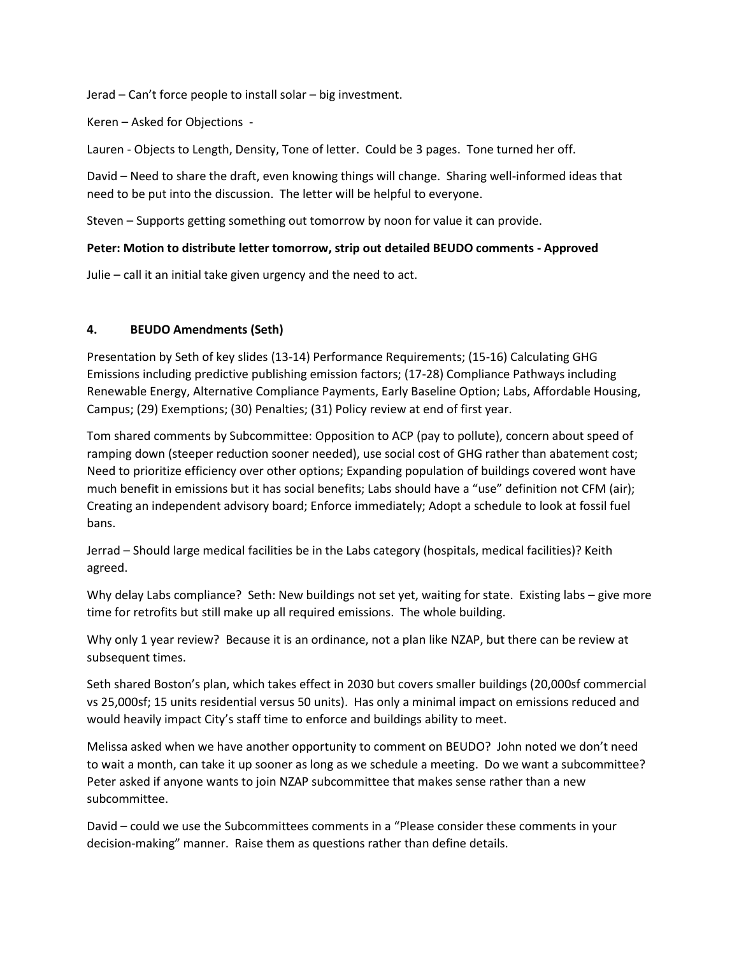Jerad – Can't force people to install solar – big investment.

Keren – Asked for Objections -

Lauren - Objects to Length, Density, Tone of letter. Could be 3 pages. Tone turned her off.

David – Need to share the draft, even knowing things will change. Sharing well-informed ideas that need to be put into the discussion. The letter will be helpful to everyone.

Steven – Supports getting something out tomorrow by noon for value it can provide.

#### **Peter: Motion to distribute letter tomorrow, strip out detailed BEUDO comments - Approved**

Julie – call it an initial take given urgency and the need to act.

#### **4. BEUDO Amendments (Seth)**

Presentation by Seth of key slides (13-14) Performance Requirements; (15-16) Calculating GHG Emissions including predictive publishing emission factors; (17-28) Compliance Pathways including Renewable Energy, Alternative Compliance Payments, Early Baseline Option; Labs, Affordable Housing, Campus; (29) Exemptions; (30) Penalties; (31) Policy review at end of first year.

Tom shared comments by Subcommittee: Opposition to ACP (pay to pollute), concern about speed of ramping down (steeper reduction sooner needed), use social cost of GHG rather than abatement cost; Need to prioritize efficiency over other options; Expanding population of buildings covered wont have much benefit in emissions but it has social benefits; Labs should have a "use" definition not CFM (air); Creating an independent advisory board; Enforce immediately; Adopt a schedule to look at fossil fuel bans.

Jerrad – Should large medical facilities be in the Labs category (hospitals, medical facilities)? Keith agreed.

Why delay Labs compliance? Seth: New buildings not set yet, waiting for state. Existing labs – give more time for retrofits but still make up all required emissions. The whole building.

Why only 1 year review? Because it is an ordinance, not a plan like NZAP, but there can be review at subsequent times.

Seth shared Boston's plan, which takes effect in 2030 but covers smaller buildings (20,000sf commercial vs 25,000sf; 15 units residential versus 50 units). Has only a minimal impact on emissions reduced and would heavily impact City's staff time to enforce and buildings ability to meet.

Melissa asked when we have another opportunity to comment on BEUDO? John noted we don't need to wait a month, can take it up sooner as long as we schedule a meeting. Do we want a subcommittee? Peter asked if anyone wants to join NZAP subcommittee that makes sense rather than a new subcommittee.

David – could we use the Subcommittees comments in a "Please consider these comments in your decision-making" manner. Raise them as questions rather than define details.